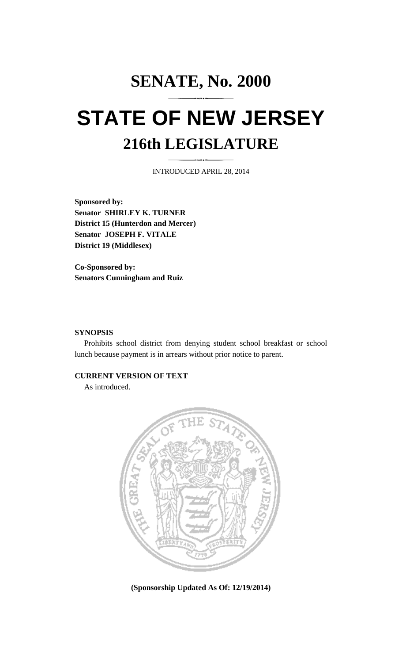## **SENATE, No. 2000 STATE OF NEW JERSEY 216th LEGISLATURE**

INTRODUCED APRIL 28, 2014

**Sponsored by: Senator SHIRLEY K. TURNER District 15 (Hunterdon and Mercer) Senator JOSEPH F. VITALE District 19 (Middlesex)** 

**Co-Sponsored by: Senators Cunningham and Ruiz** 

## **SYNOPSIS**

 Prohibits school district from denying student school breakfast or school lunch because payment is in arrears without prior notice to parent.

## **CURRENT VERSION OF TEXT**

As introduced.



**(Sponsorship Updated As Of: 12/19/2014)**